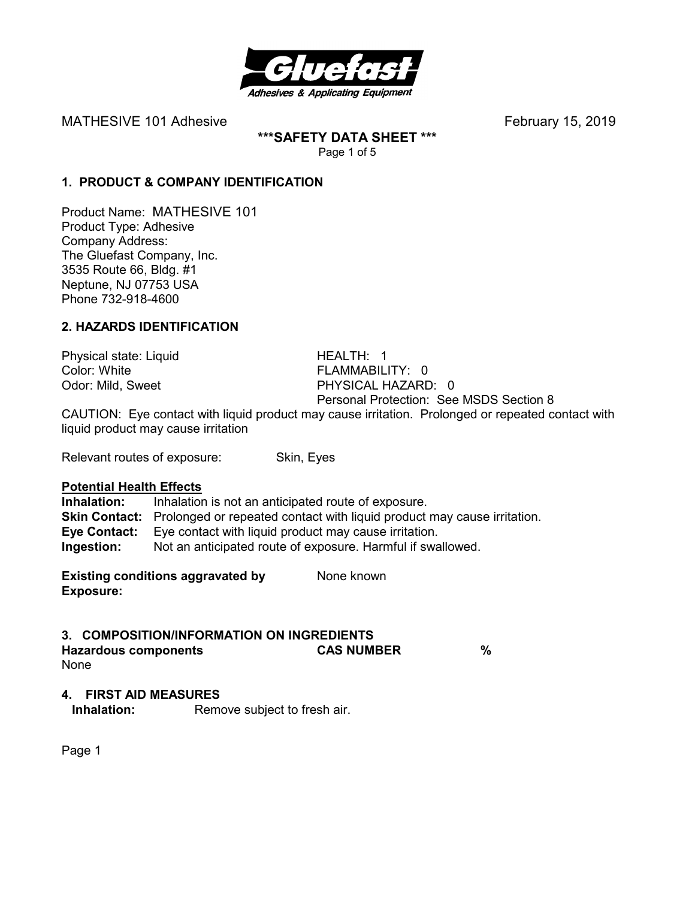

**\*\*\*SAFETY DATA SHEET \*\*\***  Page 1 of 5

## **1. PRODUCT & COMPANY IDENTIFICATION**

Product Name: MATHESIVE 101 Product Type: Adhesive Company Address: The Gluefast Company, Inc. 3535 Route 66, Bldg. #1 Neptune, NJ 07753 USA Phone 732-918-4600

## **2. HAZARDS IDENTIFICATION**

Physical state: Liquid HEALTH: 1 Color: White **FLAMMABILITY:** 0

Odor: Mild, Sweet PHYSICAL HAZARD: 0 Personal Protection: See MSDS Section 8

CAUTION: Eye contact with liquid product may cause irritation. Prolonged or repeated contact with liquid product may cause irritation

Relevant routes of exposure: Skin, Eyes

#### **Potential Health Effects**

**Inhalation:** Inhalation is not an anticipated route of exposure. **Skin Contact:** Prolonged or repeated contact with liquid product may cause irritation. **Eye Contact:** Eye contact with liquid product may cause irritation. **Ingestion:** Not an anticipated route of exposure. Harmful if swallowed.

**Existing conditions aggravated by Solve Representions and None known Exposure:** 

#### **3. COMPOSITION/INFORMATION ON INGREDIENTS**

**Hazardous components CAS NUMBER %**  None

#### **4. FIRST AID MEASURES**

**Inhalation:** Remove subject to fresh air.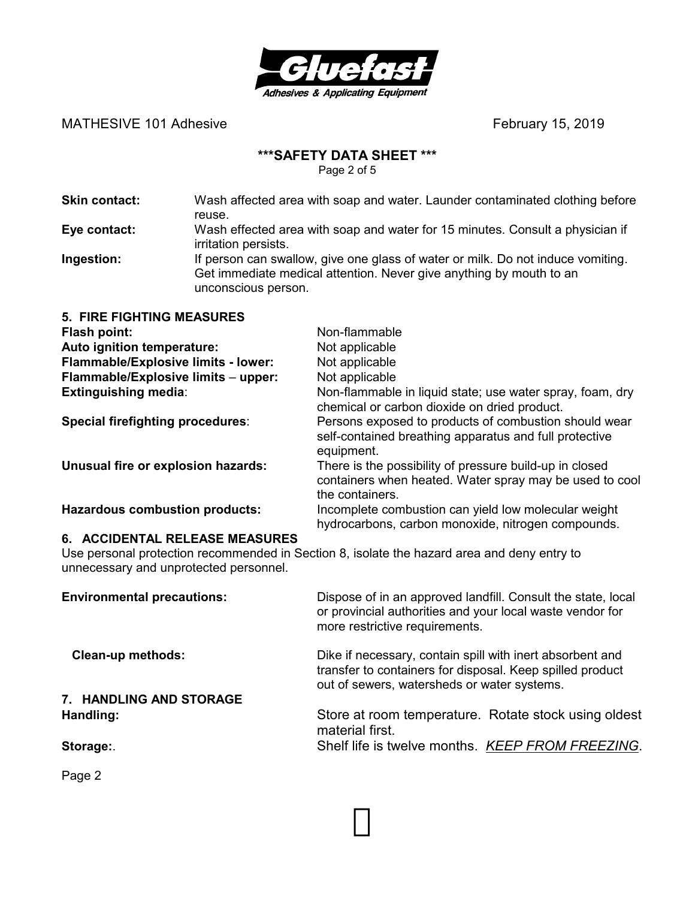

# **\*\*\*SAFETY DATA SHEET \*\*\***

Page 2 of 5

| <b>Skin contact:</b> | Wash affected area with soap and water. Launder contaminated clothing before                                                                           |
|----------------------|--------------------------------------------------------------------------------------------------------------------------------------------------------|
|                      | reuse.                                                                                                                                                 |
| Eye contact:         | Wash effected area with soap and water for 15 minutes. Consult a physician if<br>irritation persists.                                                  |
| Ingestion:           | If person can swallow, give one glass of water or milk. Do not induce vomiting.<br>Get immediate medical attention. Never give anything by mouth to an |

unconscious person.

| <b>5. FIRE FIGHTING MEASURES</b>      |                                                                                                                                       |
|---------------------------------------|---------------------------------------------------------------------------------------------------------------------------------------|
| <b>Flash point:</b>                   | Non-flammable                                                                                                                         |
| Auto ignition temperature:            | Not applicable                                                                                                                        |
| Flammable/Explosive limits - lower:   | Not applicable                                                                                                                        |
| Flammable/Explosive limits - upper:   | Not applicable                                                                                                                        |
| <b>Extinguishing media:</b>           | Non-flammable in liquid state; use water spray, foam, dry<br>chemical or carbon dioxide on dried product.                             |
| Special firefighting procedures:      | Persons exposed to products of combustion should wear<br>self-contained breathing apparatus and full protective<br>equipment.         |
| Unusual fire or explosion hazards:    | There is the possibility of pressure build-up in closed<br>containers when heated. Water spray may be used to cool<br>the containers. |
| <b>Hazardous combustion products:</b> | Incomplete combustion can yield low molecular weight<br>hydrocarbons, carbon monoxide, nitrogen compounds.                            |

#### **6. ACCIDENTAL RELEASE MEASURES**

Use personal protection recommended in Section 8, isolate the hazard area and deny entry to unnecessary and unprotected personnel.

| <b>Environmental precautions:</b> | Dispose of in an approved landfill. Consult the state, local<br>or provincial authorities and your local waste vendor for<br>more restrictive requirements.           |
|-----------------------------------|-----------------------------------------------------------------------------------------------------------------------------------------------------------------------|
| <b>Clean-up methods:</b>          | Dike if necessary, contain spill with inert absorbent and<br>transfer to containers for disposal. Keep spilled product<br>out of sewers, watersheds or water systems. |
| 7. HANDLING AND STORAGE           |                                                                                                                                                                       |
| Handling:                         | Store at room temperature. Rotate stock using oldest<br>material first.                                                                                               |
| Storage:                          | Shelf life is twelve months. KEEP FROM FREEZING.                                                                                                                      |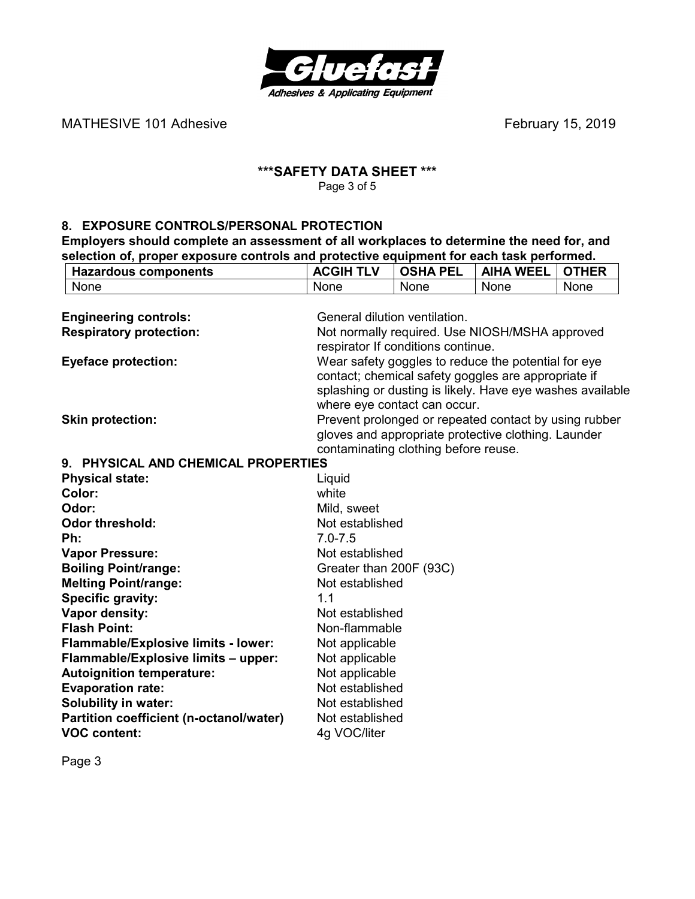

**Hazardous components ACGIH TLV OSHA PEL AIHA WEEL OTHER** 

#### **\*\*\*SAFETY DATA SHEET \*\*\***  Page 3 of 5

#### **8. EXPOSURE CONTROLS/PERSONAL PROTECTION**

**Employers should complete an assessment of all workplaces to determine the need for, and selection of, proper exposure controls and protective equipment for each task performed.**<br> **RACGIH TLV** OSHA PEL AIHA WEEL OTHE

| None                                    | None                          | None                                 | None                                                      | None |
|-----------------------------------------|-------------------------------|--------------------------------------|-----------------------------------------------------------|------|
|                                         |                               |                                      |                                                           |      |
| <b>Engineering controls:</b>            | General dilution ventilation. |                                      |                                                           |      |
| <b>Respiratory protection:</b>          |                               |                                      | Not normally required. Use NIOSH/MSHA approved            |      |
|                                         |                               | respirator If conditions continue.   |                                                           |      |
| <b>Eyeface protection:</b>              |                               |                                      | Wear safety goggles to reduce the potential for eye       |      |
|                                         |                               |                                      | contact; chemical safety goggles are appropriate if       |      |
|                                         |                               |                                      | splashing or dusting is likely. Have eye washes available |      |
|                                         |                               | where eye contact can occur.         |                                                           |      |
| <b>Skin protection:</b>                 |                               |                                      | Prevent prolonged or repeated contact by using rubber     |      |
|                                         |                               |                                      | gloves and appropriate protective clothing. Launder       |      |
|                                         |                               | contaminating clothing before reuse. |                                                           |      |
| 9. PHYSICAL AND CHEMICAL PROPERTIES     |                               |                                      |                                                           |      |
| <b>Physical state:</b>                  | Liquid                        |                                      |                                                           |      |
| Color:                                  | white                         |                                      |                                                           |      |
| Odor:                                   | Mild, sweet                   |                                      |                                                           |      |
| <b>Odor threshold:</b>                  | Not established               |                                      |                                                           |      |
| Ph:                                     | $7.0 - 7.5$                   |                                      |                                                           |      |
| <b>Vapor Pressure:</b>                  | Not established               |                                      |                                                           |      |
| <b>Boiling Point/range:</b>             | Greater than 200F (93C)       |                                      |                                                           |      |
| <b>Melting Point/range:</b>             | Not established               |                                      |                                                           |      |
| Specific gravity:                       | 1.1                           |                                      |                                                           |      |
| Vapor density:                          | Not established               |                                      |                                                           |      |
| <b>Flash Point:</b>                     | Non-flammable                 |                                      |                                                           |      |
| Flammable/Explosive limits - lower:     | Not applicable                |                                      |                                                           |      |
| Flammable/Explosive limits - upper:     | Not applicable                |                                      |                                                           |      |
| <b>Autoignition temperature:</b>        | Not applicable                |                                      |                                                           |      |
| <b>Evaporation rate:</b>                | Not established               |                                      |                                                           |      |
| <b>Solubility in water:</b>             | Not established               |                                      |                                                           |      |
| Partition coefficient (n-octanol/water) | Not established               |                                      |                                                           |      |
| <b>VOC content:</b>                     | 4g VOC/liter                  |                                      |                                                           |      |
|                                         |                               |                                      |                                                           |      |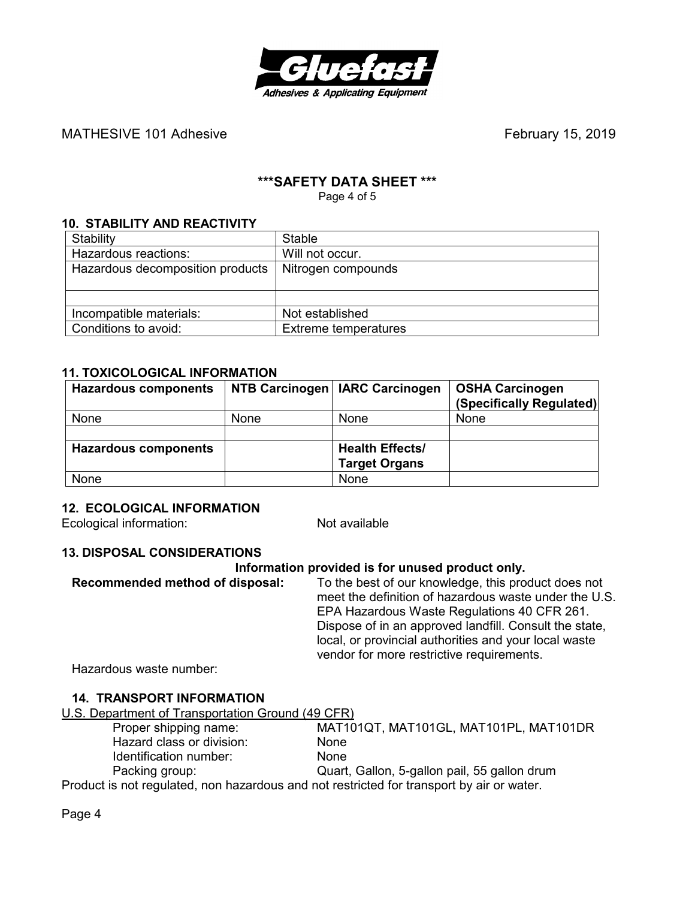

# **\*\*\*SAFETY DATA SHEET \*\*\***

Page 4 of 5

#### **10. STABILITY AND REACTIVITY**

| Stability                        | <b>Stable</b>               |
|----------------------------------|-----------------------------|
| Hazardous reactions:             | Will not occur.             |
| Hazardous decomposition products | Nitrogen compounds          |
|                                  |                             |
|                                  |                             |
| Incompatible materials:          | Not established             |
| Conditions to avoid:             | <b>Extreme temperatures</b> |

#### **11. TOXICOLOGICAL INFORMATION**

| <b>Hazardous components</b> |             | NTB Carcinogen   IARC Carcinogen | <b>OSHA Carcinogen</b><br>(Specifically Regulated) |
|-----------------------------|-------------|----------------------------------|----------------------------------------------------|
| None                        | <b>None</b> | None                             | None                                               |
|                             |             |                                  |                                                    |
| <b>Hazardous components</b> |             | <b>Health Effects/</b>           |                                                    |
|                             |             | <b>Target Organs</b>             |                                                    |
| None                        |             | None                             |                                                    |

#### **12. ECOLOGICAL INFORMATION**

Ecological information: Not available

#### **13. DISPOSAL CONSIDERATIONS**

#### **Information provided is for unused product only.**

| vendor for more restrictive requirements. | Recommended method of disposal: | To the best of our knowledge, this product does not<br>meet the definition of hazardous waste under the U.S.<br>EPA Hazardous Waste Regulations 40 CFR 261.<br>Dispose of in an approved landfill. Consult the state,<br>local, or provincial authorities and your local waste |
|-------------------------------------------|---------------------------------|--------------------------------------------------------------------------------------------------------------------------------------------------------------------------------------------------------------------------------------------------------------------------------|
|-------------------------------------------|---------------------------------|--------------------------------------------------------------------------------------------------------------------------------------------------------------------------------------------------------------------------------------------------------------------------------|

Hazardous waste number:

#### **14. TRANSPORT INFORMATION**

U.S. Department of Transportation Ground (49 CFR)

| Proper shipping name:                                                                     | MAT101QT, MAT101GL, MAT101PL, MAT101DR       |
|-------------------------------------------------------------------------------------------|----------------------------------------------|
| Hazard class or division:                                                                 | None                                         |
| Identification number:                                                                    | <b>None</b>                                  |
| Packing group:                                                                            | Quart, Gallon, 5-gallon pail, 55 gallon drum |
| Product is not regulated, non hazardous and not restricted for transport by air or water. |                                              |